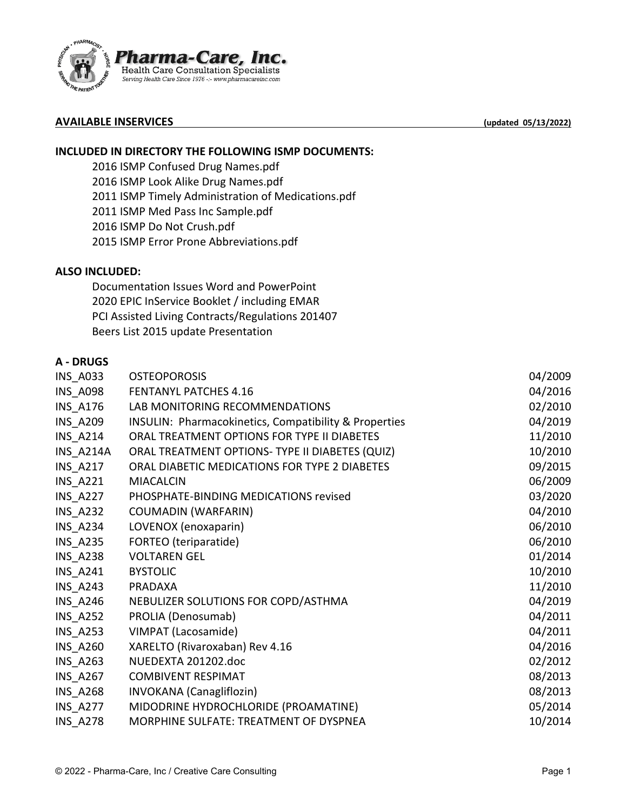

## **AVAILABLE INSERVICES (updated 05/13/2022)**

# **INCLUDED IN DIRECTORY THE FOLLOWING ISMP DOCUMENTS:**

2016 ISMP Confused Drug Names.pdf 2016 ISMP Look Alike Drug Names.pdf 2011 ISMP Timely Administration of Medications.pdf 2011 ISMP Med Pass Inc Sample.pdf 2016 ISMP Do Not Crush.pdf 2015 ISMP Error Prone Abbreviations.pdf

#### **ALSO INCLUDED:**

Documentation Issues Word and PowerPoint 2020 EPIC InService Booklet / including EMAR PCI Assisted Living Contracts/Regulations 201407 Beers List 2015 update Presentation

#### **A - DRUGS**

| <b>OSTEOPOROSIS</b>                                   | 04/2009 |
|-------------------------------------------------------|---------|
| <b>FENTANYL PATCHES 4.16</b>                          | 04/2016 |
| LAB MONITORING RECOMMENDATIONS                        | 02/2010 |
| INSULIN: Pharmacokinetics, Compatibility & Properties | 04/2019 |
| ORAL TREATMENT OPTIONS FOR TYPE II DIABETES           | 11/2010 |
| ORAL TREATMENT OPTIONS- TYPE II DIABETES (QUIZ)       | 10/2010 |
| ORAL DIABETIC MEDICATIONS FOR TYPE 2 DIABETES         | 09/2015 |
| <b>MIACALCIN</b>                                      | 06/2009 |
| PHOSPHATE-BINDING MEDICATIONS revised                 | 03/2020 |
| <b>COUMADIN (WARFARIN)</b>                            | 04/2010 |
| LOVENOX (enoxaparin)                                  | 06/2010 |
| FORTEO (teriparatide)                                 | 06/2010 |
| <b>VOLTAREN GEL</b>                                   | 01/2014 |
| <b>BYSTOLIC</b>                                       | 10/2010 |
| <b>PRADAXA</b>                                        | 11/2010 |
| NEBULIZER SOLUTIONS FOR COPD/ASTHMA                   | 04/2019 |
| PROLIA (Denosumab)                                    | 04/2011 |
| VIMPAT (Lacosamide)                                   | 04/2011 |
| XARELTO (Rivaroxaban) Rev 4.16                        | 04/2016 |
| NUEDEXTA 201202.doc                                   | 02/2012 |
| <b>COMBIVENT RESPIMAT</b>                             | 08/2013 |
| <b>INVOKANA</b> (Canagliflozin)                       | 08/2013 |
| MIDODRINE HYDROCHLORIDE (PROAMATINE)                  | 05/2014 |
| MORPHINE SULFATE: TREATMENT OF DYSPNEA                | 10/2014 |
|                                                       |         |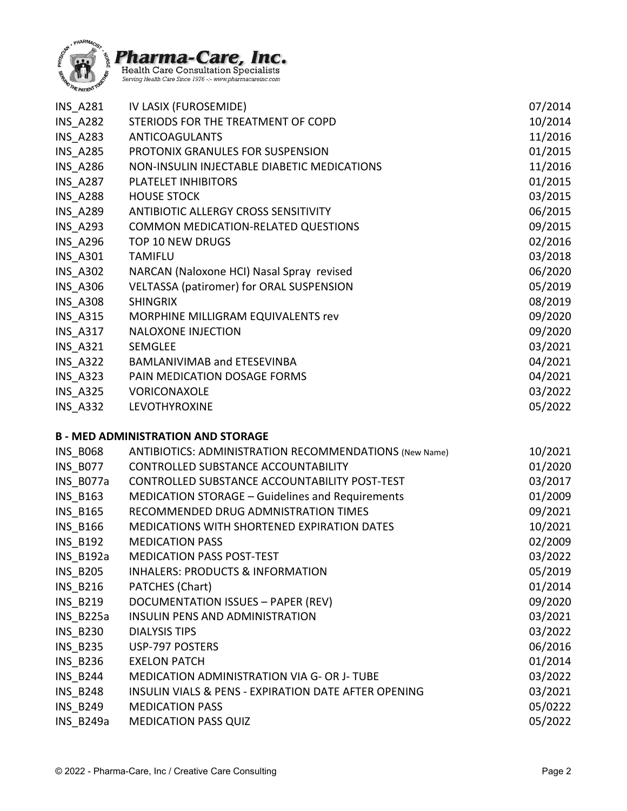



| INS A281        | IV LASIX (FUROSEMIDE)                           | 07/2014 |
|-----------------|-------------------------------------------------|---------|
| <b>INS A282</b> | STERIODS FOR THE TREATMENT OF COPD              | 10/2014 |
| <b>INS A283</b> | <b>ANTICOAGULANTS</b>                           | 11/2016 |
| <b>INS A285</b> | PROTONIX GRANULES FOR SUSPENSION                | 01/2015 |
| <b>INS A286</b> | NON-INSULIN INJECTABLE DIABETIC MEDICATIONS     | 11/2016 |
| <b>INS A287</b> | PLATELET INHIBITORS                             | 01/2015 |
| <b>INS_A288</b> | <b>HOUSE STOCK</b>                              | 03/2015 |
| <b>INS A289</b> | ANTIBIOTIC ALLERGY CROSS SENSITIVITY            | 06/2015 |
| <b>INS A293</b> | <b>COMMON MEDICATION-RELATED QUESTIONS</b>      | 09/2015 |
| <b>INS A296</b> | TOP 10 NEW DRUGS                                | 02/2016 |
| <b>INS A301</b> | <b>TAMIFLU</b>                                  | 03/2018 |
| <b>INS A302</b> | NARCAN (Naloxone HCI) Nasal Spray revised       | 06/2020 |
| <b>INS_A306</b> | <b>VELTASSA (patiromer) for ORAL SUSPENSION</b> | 05/2019 |
| <b>INS A308</b> | <b>SHINGRIX</b>                                 | 08/2019 |
| <b>INS A315</b> | MORPHINE MILLIGRAM EQUIVALENTS rev              | 09/2020 |
| <b>INS A317</b> | <b>NALOXONE INJECTION</b>                       | 09/2020 |
| <b>INS_A321</b> | SEMGLEE                                         | 03/2021 |
| <b>INS A322</b> | BAMLANIVIMAB and ETESEVINBA                     | 04/2021 |
| INS A323        | PAIN MEDICATION DOSAGE FORMS                    | 04/2021 |
| <b>INS_A325</b> | VORICONAXOLE                                    | 03/2022 |
| <b>INS A332</b> | LEVOTHYROXINE                                   | 05/2022 |
|                 |                                                 |         |

## **B - MED ADMINISTRATION AND STORAGE**

| <b>ANTIBIOTICS: ADMINISTRATION RECOMMENDATIONS (New Name)</b> | 10/2021 |
|---------------------------------------------------------------|---------|
| CONTROLLED SUBSTANCE ACCOUNTABILITY                           | 01/2020 |
| CONTROLLED SUBSTANCE ACCOUNTABILITY POST-TEST                 | 03/2017 |
| MEDICATION STORAGE - Guidelines and Requirements              | 01/2009 |
| RECOMMENDED DRUG ADMNISTRATION TIMES                          | 09/2021 |
| <b>MEDICATIONS WITH SHORTENED EXPIRATION DATES</b>            | 10/2021 |
| <b>MEDICATION PASS</b>                                        | 02/2009 |
| <b>MEDICATION PASS POST-TEST</b>                              | 03/2022 |
| <b>INHALERS: PRODUCTS &amp; INFORMATION</b>                   | 05/2019 |
| PATCHES (Chart)                                               | 01/2014 |
| DOCUMENTATION ISSUES - PAPER (REV)                            | 09/2020 |
| <b>INSULIN PENS AND ADMINISTRATION</b>                        | 03/2021 |
| <b>DIALYSIS TIPS</b>                                          | 03/2022 |
| USP-797 POSTERS                                               | 06/2016 |
| <b>EXELON PATCH</b>                                           | 01/2014 |
| <b>MEDICATION ADMINISTRATION VIA G- OR J- TUBE</b>            | 03/2022 |
| INSULIN VIALS & PENS - EXPIRATION DATE AFTER OPENING          | 03/2021 |
| <b>MEDICATION PASS</b>                                        | 05/0222 |
| <b>MEDICATION PASS QUIZ</b>                                   | 05/2022 |
|                                                               |         |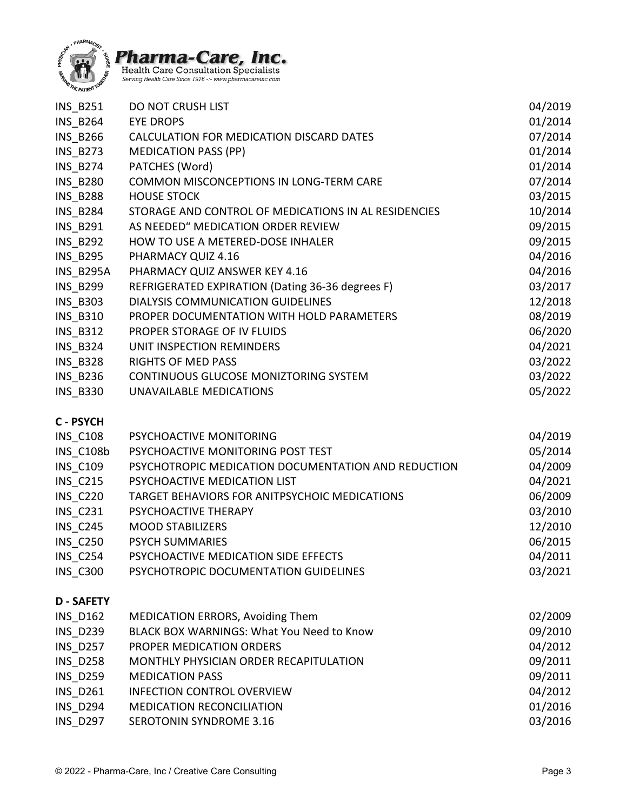



| <b>INS B251</b> | <b>DO NOT CRUSH LIST</b>                             | 04/2019 |
|-----------------|------------------------------------------------------|---------|
| INS_B264        | <b>EYE DROPS</b>                                     | 01/2014 |
| <b>INS_B266</b> | CALCULATION FOR MEDICATION DISCARD DATES             | 07/2014 |
| INS_B273        | <b>MEDICATION PASS (PP)</b>                          | 01/2014 |
| <b>INS_B274</b> | PATCHES (Word)                                       | 01/2014 |
| <b>INS_B280</b> | COMMON MISCONCEPTIONS IN LONG-TERM CARE              | 07/2014 |
| <b>INS_B288</b> | <b>HOUSE STOCK</b>                                   | 03/2015 |
| <b>INS B284</b> | STORAGE AND CONTROL OF MEDICATIONS IN AL RESIDENCIES | 10/2014 |
| <b>INS_B291</b> | AS NEEDED" MEDICATION ORDER REVIEW                   | 09/2015 |
| <b>INS_B292</b> | HOW TO USE A METERED-DOSE INHALER                    | 09/2015 |
| <b>INS_B295</b> | PHARMACY QUIZ 4.16                                   | 04/2016 |
| INS B295A       | PHARMACY QUIZ ANSWER KEY 4.16                        | 04/2016 |
| <b>INS_B299</b> | REFRIGERATED EXPIRATION (Dating 36-36 degrees F)     | 03/2017 |
| <b>INS B303</b> | DIALYSIS COMMUNICATION GUIDELINES                    | 12/2018 |
| <b>INS_B310</b> | PROPER DOCUMENTATION WITH HOLD PARAMETERS            | 08/2019 |
| <b>INS_B312</b> | PROPER STORAGE OF IV FLUIDS                          | 06/2020 |
| <b>INS B324</b> | UNIT INSPECTION REMINDERS                            | 04/2021 |
| <b>INS_B328</b> | <b>RIGHTS OF MED PASS</b>                            | 03/2022 |
| <b>INS B236</b> | CONTINUOUS GLUCOSE MONIZTORING SYSTEM                | 03/2022 |
| <b>INS_B330</b> | UNAVAILABLE MEDICATIONS                              | 05/2022 |
| C - PSYCH       |                                                      |         |
| <b>INS_C108</b> | PSYCHOACTIVE MONITORING                              | 04/2019 |
| INS C108b       | PSYCHOACTIVE MONITORING POST TEST                    | 05/2014 |
| <b>INS_C109</b> | PSYCHOTROPIC MEDICATION DOCUMENTATION AND REDUCTION  | 04/2009 |
| <b>INS C215</b> | PSYCHOACTIVE MEDICATION LIST                         | 04/2021 |
| <b>INS_C220</b> | TARGET BEHAVIORS FOR ANITPSYCHOIC MEDICATIONS        | 06/2009 |
| <b>INS_C231</b> | PSYCHOACTIVE THERAPY                                 | 03/2010 |
| <b>INS C245</b> | <b>MOOD STABILIZERS</b>                              | 12/2010 |
| <b>INS C250</b> | <b>PSYCH SUMMARIES</b>                               | 06/2015 |
| <b>INS_C254</b> | PSYCHOACTIVE MEDICATION SIDE EFFECTS                 | 04/2011 |
| <b>INS C300</b> | PSYCHOTROPIC DOCUMENTATION GUIDELINES                | 03/2021 |
| <b>D-SAFETY</b> |                                                      |         |
| <b>INS_D162</b> | <b>MEDICATION ERRORS, Avoiding Them</b>              | 02/2009 |
| <b>INS_D239</b> | BLACK BOX WARNINGS: What You Need to Know            | 09/2010 |
| <b>INS D257</b> | PROPER MEDICATION ORDERS                             | 04/2012 |
| <b>INS_D258</b> | MONTHLY PHYSICIAN ORDER RECAPITULATION               | 09/2011 |
| <b>INS_D259</b> | <b>MEDICATION PASS</b>                               | 09/2011 |
| <b>INS_D261</b> | <b>INFECTION CONTROL OVERVIEW</b>                    | 04/2012 |
| <b>INS D294</b> | <b>MEDICATION RECONCILIATION</b>                     | 01/2016 |
| <b>INS D297</b> | <b>SEROTONIN SYNDROME 3.16</b>                       | 03/2016 |
|                 |                                                      |         |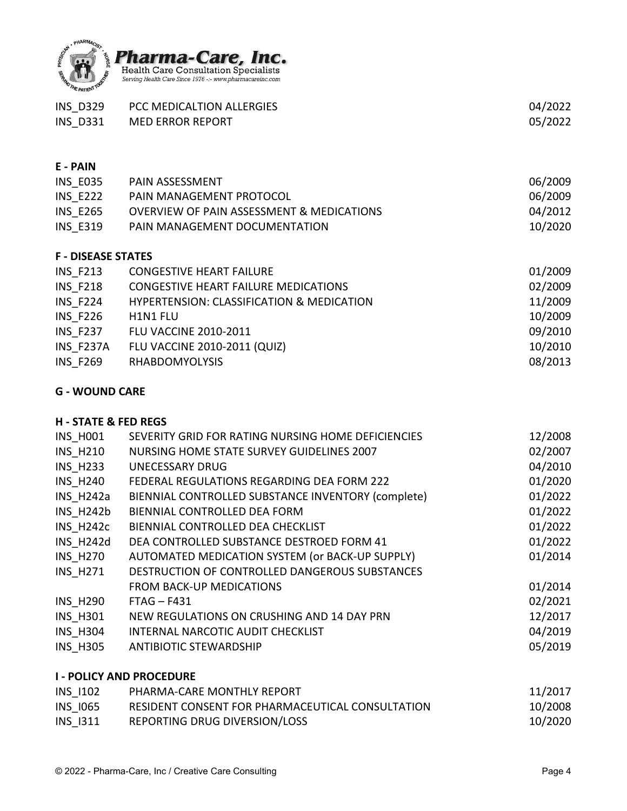

| <b>INS D329</b>           | PCC MEDICALTION ALLERGIES                            | 04/2022 |
|---------------------------|------------------------------------------------------|---------|
| <b>INS D331</b>           | <b>MED ERROR REPORT</b>                              | 05/2022 |
|                           |                                                      |         |
|                           |                                                      |         |
| E - PAIN                  |                                                      |         |
| <b>INS E035</b>           | PAIN ASSESSMENT                                      | 06/2009 |
| <b>INS_E222</b>           | PAIN MANAGEMENT PROTOCOL                             | 06/2009 |
| <b>INS E265</b>           | <b>OVERVIEW OF PAIN ASSESSMENT &amp; MEDICATIONS</b> | 04/2012 |
| <b>INS E319</b>           | PAIN MANAGEMENT DOCUMENTATION                        | 10/2020 |
|                           |                                                      |         |
| <b>F - DISEASE STATES</b> |                                                      |         |
| <b>INS_F213</b>           | <b>CONGESTIVE HEART FAILURE</b>                      | 01/2009 |
| <b>INS F218</b>           | <b>CONGESTIVE HEART FAILURE MEDICATIONS</b>          | 02/2009 |
| <b>INS F224</b>           | <b>HYPERTENSION: CLASSIFICATION &amp; MEDICATION</b> | 11/2009 |
| <b>INS F226</b>           | H1N1 FLU                                             | 10/2009 |
| <b>INS F237</b>           | <b>FLU VACCINE 2010-2011</b>                         | 09/2010 |
| INS F237A                 | <b>FLU VACCINE 2010-2011 (QUIZ)</b>                  | 10/2010 |
| <b>INS F269</b>           | <b>RHABDOMYOLYSIS</b>                                | 08/2013 |
|                           |                                                      |         |

# **G - WOUND CARE**

# **H - STATE & FED REGS**

| <b>INS H001</b>                 | SEVERITY GRID FOR RATING NURSING HOME DEFICIENCIES | 12/2008 |
|---------------------------------|----------------------------------------------------|---------|
| <b>INS H210</b>                 | NURSING HOME STATE SURVEY GUIDELINES 2007          | 02/2007 |
| <b>INS H233</b>                 | <b>UNECESSARY DRUG</b>                             | 04/2010 |
| <b>INS H240</b>                 | FEDERAL REGULATIONS REGARDING DEA FORM 222         | 01/2020 |
| INS H242a                       | BIENNIAL CONTROLLED SUBSTANCE INVENTORY (complete) | 01/2022 |
| INS_H242b                       | BIENNIAL CONTROLLED DEA FORM                       | 01/2022 |
| INS H242c                       | BIENNIAL CONTROLLED DEA CHECKLIST                  | 01/2022 |
| INS H242d                       | DEA CONTROLLED SUBSTANCE DESTROED FORM 41          | 01/2022 |
| <b>INS H270</b>                 | AUTOMATED MEDICATION SYSTEM (or BACK-UP SUPPLY)    | 01/2014 |
| <b>INS H271</b>                 | DESTRUCTION OF CONTROLLED DANGEROUS SUBSTANCES     |         |
|                                 | <b>FROM BACK-UP MEDICATIONS</b>                    | 01/2014 |
| <b>INS_H290</b>                 | $FTAG - F431$                                      | 02/2021 |
| <b>INS H301</b>                 | NEW REGULATIONS ON CRUSHING AND 14 DAY PRN         | 12/2017 |
| <b>INS H304</b>                 | INTERNAL NARCOTIC AUDIT CHECKLIST                  | 04/2019 |
| <b>INS H305</b>                 | <b>ANTIBIOTIC STEWARDSHIP</b>                      | 05/2019 |
| <b>I - POLICY AND PROCEDURE</b> |                                                    |         |
|                                 |                                                    |         |

| INS 1102        | PHARMA-CARE MONTHLY REPORT                       | 11/2017 |
|-----------------|--------------------------------------------------|---------|
| <b>INS 1065</b> | RESIDENT CONSENT FOR PHARMACEUTICAL CONSULTATION | 10/2008 |
| INS 1311        | REPORTING DRUG DIVERSION/LOSS                    | 10/2020 |